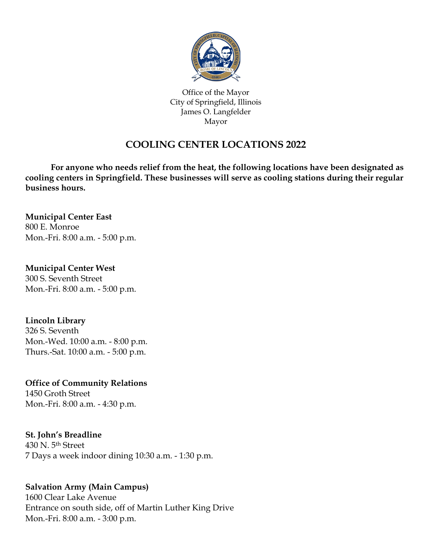

Office of the Mayor City of Springfield, Illinois James O. Langfelder Mayor

# **COOLING CENTER LOCATIONS 2022**

**For anyone who needs relief from the heat, the following locations have been designated as cooling centers in Springfield. These businesses will serve as cooling stations during their regular business hours.**

# **Municipal Center East**

800 E. Monroe Mon.-Fri. 8:00 a.m. - 5:00 p.m.

#### **Municipal Center West**

300 S. Seventh Street Mon.-Fri. 8:00 a.m. - 5:00 p.m.

# **Lincoln Library**

326 S. Seventh Mon.-Wed. 10:00 a.m. - 8:00 p.m. Thurs.-Sat. 10:00 a.m. - 5:00 p.m.

**Office of Community Relations** 1450 Groth Street Mon.-Fri. 8:00 a.m. - 4:30 p.m.

# **St. John's Breadline**

430 N. 5th Street 7 Days a week indoor dining 10:30 a.m. - 1:30 p.m.

# **Salvation Army (Main Campus)**

1600 Clear Lake Avenue Entrance on south side, off of Martin Luther King Drive Mon.-Fri. 8:00 a.m. - 3:00 p.m.